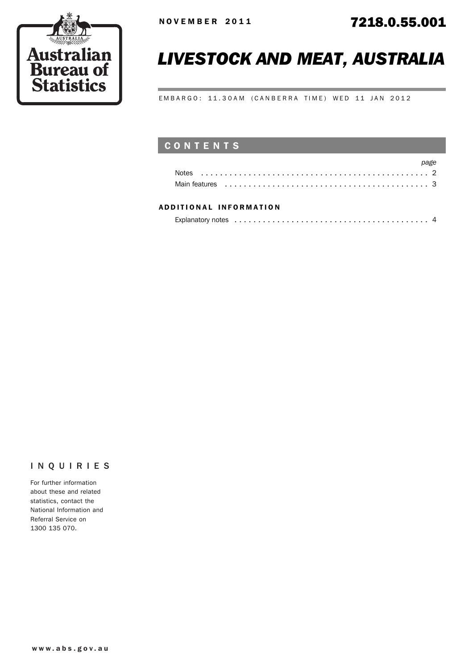

# *LIVESTOCK AND MEAT, AUSTRALIA*

EMBARGO: 11.30AM (CANBERRA TIME) WED 11 JAN 2012

# CONTENTS

|                                                                                                                                                                                                                                | page |
|--------------------------------------------------------------------------------------------------------------------------------------------------------------------------------------------------------------------------------|------|
|                                                                                                                                                                                                                                |      |
| Main features experience in the contract of the contract of the contract of the contract of the contract of the contract of the contract of the contract of the contract of the contract of the contract of the contract of th |      |

#### ADD ITIONAL INFORMATION

| Explanatory notes experience in the contract of the contract of the contract of the contract of the contract of the contract of the contract of the contract of the contract of the contract of the contract of the contract o |  |
|--------------------------------------------------------------------------------------------------------------------------------------------------------------------------------------------------------------------------------|--|
|                                                                                                                                                                                                                                |  |

#### INQUIRIES

For further information about these and related statistics, contact the National Information and Referral Service on 1300 135 070.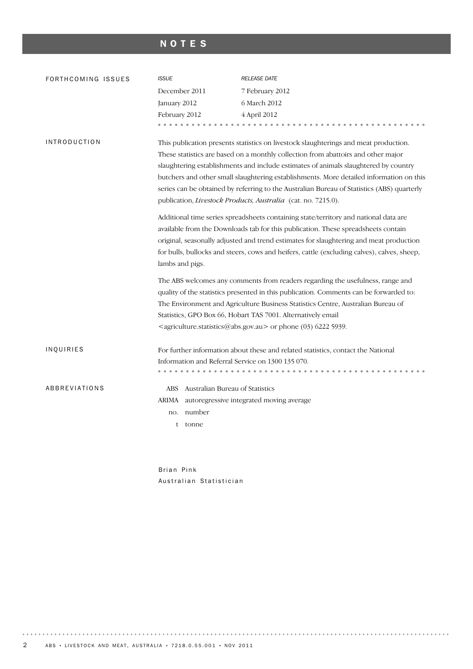# NOTES

| FORTHCOMING ISSUES  | <b>ISSUE</b>                                                                                                                                                                                                                                                                                                                                                                                                                                                                                                               | <b>RELEASE DATE</b>                                                                   |  |
|---------------------|----------------------------------------------------------------------------------------------------------------------------------------------------------------------------------------------------------------------------------------------------------------------------------------------------------------------------------------------------------------------------------------------------------------------------------------------------------------------------------------------------------------------------|---------------------------------------------------------------------------------------|--|
|                     | December 2011                                                                                                                                                                                                                                                                                                                                                                                                                                                                                                              | 7 February 2012                                                                       |  |
|                     | January 2012                                                                                                                                                                                                                                                                                                                                                                                                                                                                                                               | 6 March 2012                                                                          |  |
|                     | February 2012                                                                                                                                                                                                                                                                                                                                                                                                                                                                                                              | 4 April 2012                                                                          |  |
|                     | .                                                                                                                                                                                                                                                                                                                                                                                                                                                                                                                          | 0.0.0.0.0.0                                                                           |  |
| <b>INTRODUCTION</b> | This publication presents statistics on livestock slaughterings and meat production.<br>These statistics are based on a monthly collection from abattoirs and other major<br>slaughtering establishments and include estimates of animals slaughtered by country<br>butchers and other small slaughtering establishments. More detailed information on this<br>series can be obtained by referring to the Australian Bureau of Statistics (ABS) quarterly<br>publication, Livestock Products, Australia (cat. no. 7215.0). |                                                                                       |  |
|                     | Additional time series spreadsheets containing state/territory and national data are<br>available from the Downloads tab for this publication. These spreadsheets contain<br>original, seasonally adjusted and trend estimates for slaughtering and meat production<br>for bulls, bullocks and steers, cows and heifers, cattle (excluding calves), calves, sheep,<br>lambs and pigs.                                                                                                                                      |                                                                                       |  |
|                     | The ABS welcomes any comments from readers regarding the usefulness, range and<br>quality of the statistics presented in this publication. Comments can be forwarded to:<br>The Environment and Agriculture Business Statistics Centre, Australian Bureau of<br>Statistics, GPO Box 66, Hobart TAS 7001. Alternatively email<br><agriculture.statistics@abs.gov.au> or phone (03) 6222 5939.</agriculture.statistics@abs.gov.au>                                                                                           |                                                                                       |  |
| INQUIRIES           | Information and Referral Service on 1300 135 070.<br>.                                                                                                                                                                                                                                                                                                                                                                                                                                                                     | For further information about these and related statistics, contact the National<br>. |  |
| ABBREVIATIONS       | ABS Australian Bureau of Statistics<br>ARIMA autoregressive integrated moving average<br>number<br>no.<br>tonne<br>t                                                                                                                                                                                                                                                                                                                                                                                                       |                                                                                       |  |

Brian Pink Australian Statistician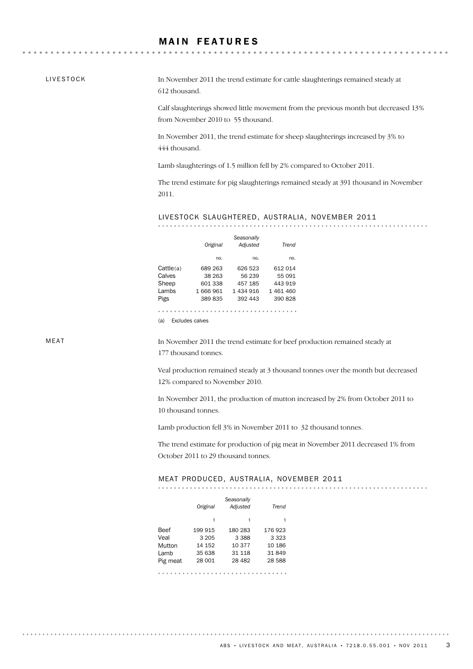### **MAIN FEATURES**

LIVESTOCK

. . . . . . . . .

In November 2011 the trend estimate for cattle slaughterings remained steady at 612 thousand.

Calf slaughterings showed little movement from the previous month but decreased 13% from November 2010 to 55 thousand.

In November 2011, the trend estimate for sheep slaughterings increased by 3% to 444 thousand.

Lamb slaughterings of 1.5 million fell by 2% compared to October 2011.

The trend estimate for pig slaughterings remained steady at 391 thousand in November 2011.

LIVESTOCK SLAUGHTERED, AUSTRALIA, NOVEMBER 2011

|           | Original | Seasonally<br>Adjusted | Trend   |
|-----------|----------|------------------------|---------|
|           | no.      | no.                    | no.     |
| Cattle(a) | 689 263  | 626 523                | 612 014 |
| Calves    | 38 263   | 56 239                 | 55 091  |
| Sheep     | 601 338  | 457 185                | 443 919 |
| Lambs     | 1666961  | 1 434 916              | 1461460 |
| Pigs      | 389835   | 392 443                | 390 828 |
|           |          |                        |         |

(a) Excludes calves

MEAT

. . . . . . . . . . .

In November 2011 the trend estimate for beef production remained steady at 177 thousand tonnes.

Veal production remained steady at 3 thousand tonnes over the month but decreased 12% compared to November 2010.

In November 2011, the production of mutton increased by 2% from October 2011 to 10 thousand tonnes.

Lamb production fell 3% in November 2011 to 32 thousand tonnes.

The trend estimate for production of pig meat in November 2011 decreased 1% from October 2011 to 29 thousand tonnes.

#### MEAT PRODUCED, AUSTRALIA, NOVEMBER 2011

|          | Original | Seasonally<br>Adjusted | Trend   |
|----------|----------|------------------------|---------|
|          | t        | t                      | t       |
| Beef     | 199 915  | 180 283                | 176923  |
| Veal     | 3 2 0 5  | 3 3 8 8                | 3 3 2 3 |
| Mutton   | 14 152   | 10 377                 | 10 186  |
| Lamb     | 35 638   | 31 118                 | 31849   |
| Pig meat | 28 001   | 28 482                 | 28 588  |
|          |          |                        |         |

. . . . . . . . . . .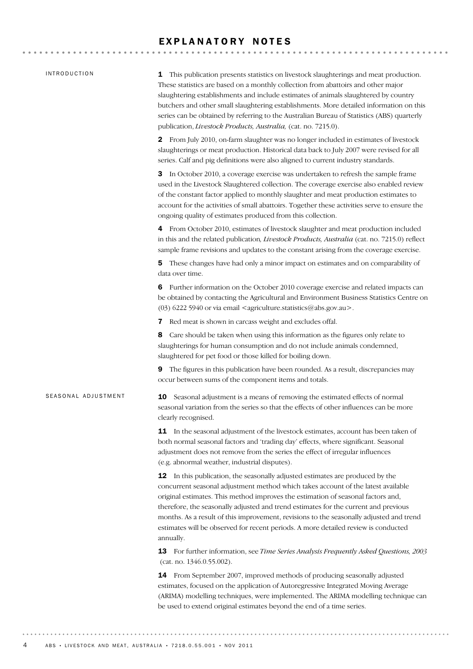#### EXPLANATORY NOTES

#### INTRODUCTION

SEASONAL ADJUSTMENT

1 This publication presents statistics on livestock slaughterings and meat production. These statistics are based on a monthly collection from abattoirs and other major slaughtering establishments and include estimates of animals slaughtered by country butchers and other small slaughtering establishments. More detailed information on this series can be obtained by referring to the Australian Bureau of Statistics (ABS) quarterly publication, *Livestock Products, Australia,* (cat. no. 7215.0).

2 From July 2010, on-farm slaughter was no longer included in estimates of livestock slaughterings or meat production. Historical data back to July 2007 were revised for all series. Calf and pig definitions were also aligned to current industry standards.

3 In October 2010, a coverage exercise was undertaken to refresh the sample frame used in the Livestock Slaughtered collection. The coverage exercise also enabled review of the constant factor applied to monthly slaughter and meat production estimates to account for the activities of small abattoirs. Together these activities serve to ensure the ongoing quality of estimates produced from this collection.

4 From October 2010, estimates of livestock slaughter and meat production included in this and the related publication*, Livestock Products, Australia* (cat. no. 7215.0) reflect sample frame revisions and updates to the constant arising from the coverage exercise.

5 These changes have had only a minor impact on estimates and on comparability of data over time.

6 Further information on the October 2010 coverage exercise and related impacts can be obtained by contacting the Agricultural and Environment Business Statistics Centre on (03) 6222 5940 or via email  $\leq$ agriculture.statistics@abs.gov.au>.

7 Red meat is shown in carcass weight and excludes offal.

8 Care should be taken when using this information as the figures only relate to slaughterings for human consumption and do not include animals condemned, slaughtered for pet food or those killed for boiling down.

9 The figures in this publication have been rounded. As a result, discrepancies may occur between sums of the component items and totals.

**10** Seasonal adjustment is a means of removing the estimated effects of normal seasonal variation from the series so that the effects of other influences can be more clearly recognised.

**11** In the seasonal adjustment of the livestock estimates, account has been taken of both normal seasonal factors and 'trading day' effects, where significant. Seasonal adjustment does not remove from the series the effect of irregular influences (e.g. abnormal weather, industrial disputes).

12 In this publication, the seasonally adjusted estimates are produced by the concurrent seasonal adjustment method which takes account of the latest available original estimates. This method improves the estimation of seasonal factors and, therefore, the seasonally adjusted and trend estimates for the current and previous months. As a result of this improvement, revisions to the seasonally adjusted and trend estimates will be observed for recent periods. A more detailed review is conducted annually.

13 For further information, see *Time Series Analysis Frequently Asked Questions, 2003* (cat. no. 1346.0.55.002).

14 From September 2007, improved methods of producing seasonally adjusted estimates, focused on the application of Autoregressive Integrated Moving Average (ARIMA) modelling techniques, were implemented. The ARIMA modelling technique can be used to extend original estimates beyond the end of a time series.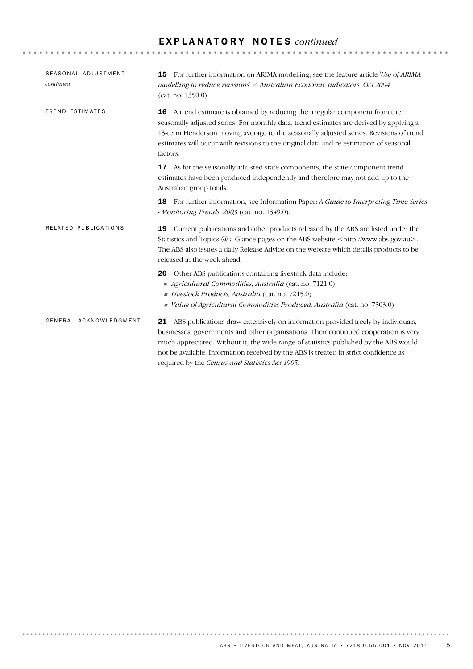## E X P L A N A T O R Y N O T E S *continued*

| SEASONAL ADJUSTMENT<br>continued | <b>15</b> For further information on ARIMA modelling, see the feature article 'Use of ARIMA<br>modelling to reduce revisions' in Australian Economic Indicators, Oct 2004<br>(cat. no. 1350.0).                                                                                                                                                                                                                 |  |  |
|----------------------------------|-----------------------------------------------------------------------------------------------------------------------------------------------------------------------------------------------------------------------------------------------------------------------------------------------------------------------------------------------------------------------------------------------------------------|--|--|
| TREND ESTIMATES                  | A trend estimate is obtained by reducing the irregular component from the<br>16<br>seasonally adjusted series. For monthly data, trend estimates are derived by applying a<br>13-term Henderson moving average to the seasonally adjusted series. Revisions of trend<br>estimates will occur with revisions to the original data and re-estimation of seasonal<br>factors.                                      |  |  |
|                                  | As for the seasonally adjusted state components, the state component trend<br>17<br>estimates have been produced independently and therefore may not add up to the<br>Australian group totals.                                                                                                                                                                                                                  |  |  |
|                                  | For further information, see Information Paper: A Guide to Interpreting Time Series<br>18<br>- Monitoring Trends, 2003 (cat. no. 1349.0).                                                                                                                                                                                                                                                                       |  |  |
| RELATED PUBLICATIONS             | Current publications and other products released by the ABS are listed under the<br>19<br>Statistics and Topics @ a Glance pages on the ABS website <http: www.abs.gov.au="">.<br/>The ABS also issues a daily Release Advice on the website which details products to be<br/>released in the week ahead.</http:>                                                                                               |  |  |
|                                  | Other ABS publications containing livestock data include:<br>20<br>Agricultural Commodities, Australia (cat. no. 7121.0)<br>Livestock Products, Australia (cat. no. 7215.0)<br>Value of Agricultural Commodities Produced, Australia (cat. no. 7503.0)                                                                                                                                                          |  |  |
| GENERAL ACKNOWLEDGMENT           | 21 ABS publications draw extensively on information provided freely by individuals,<br>businesses, governments and other organisations. Their continued cooperation is very<br>much appreciated. Without it, the wide range of statistics published by the ABS would<br>not be available. Information received by the ABS is treated in strict confidence as<br>required by the Census and Statistics Act 1905. |  |  |